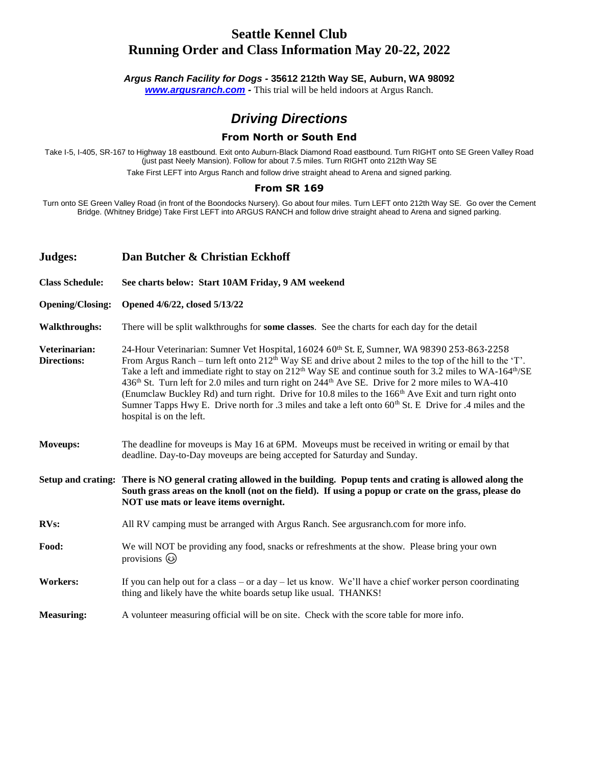### **Seattle Kennel Club Running Order and Class Information May 20-22, 2022**

*Argus Ranch Facility for Dogs -* **35612 212th Way SE, Auburn, WA 98092**

*[www.argusranch.com](http://www.argusranch.com/) -* This trial will be held indoors at Argus Ranch.

### *Driving Directions*

#### **From North or South End**

Take I-5, I-405, SR-167 to Highway 18 eastbound. Exit onto Auburn-Black Diamond Road eastbound. Turn RIGHT onto SE Green Valley Road (just past Neely Mansion). Follow for about 7.5 miles. Turn RIGHT onto 212th Way SE

Take First LEFT into Argus Ranch and follow drive straight ahead to Arena and signed parking.

#### **From SR 169**

Turn onto SE Green Valley Road (in front of the Boondocks Nursery). Go about four miles. Turn LEFT onto 212th Way SE. Go over the Cement Bridge. (Whitney Bridge) Take First LEFT into ARGUS RANCH and follow drive straight ahead to Arena and signed parking.

| Judges:                             | Dan Butcher & Christian Eckhoff                                                                                                                                                                                                                                                                                                                                                                                                                                                                                                                                                                                                                                                                                                                              |
|-------------------------------------|--------------------------------------------------------------------------------------------------------------------------------------------------------------------------------------------------------------------------------------------------------------------------------------------------------------------------------------------------------------------------------------------------------------------------------------------------------------------------------------------------------------------------------------------------------------------------------------------------------------------------------------------------------------------------------------------------------------------------------------------------------------|
| <b>Class Schedule:</b>              | See charts below: Start 10AM Friday, 9 AM weekend                                                                                                                                                                                                                                                                                                                                                                                                                                                                                                                                                                                                                                                                                                            |
| <b>Opening/Closing:</b>             | Opened 4/6/22, closed 5/13/22                                                                                                                                                                                                                                                                                                                                                                                                                                                                                                                                                                                                                                                                                                                                |
| <b>Walkthroughs:</b>                | There will be split walkthroughs for some classes. See the charts for each day for the detail                                                                                                                                                                                                                                                                                                                                                                                                                                                                                                                                                                                                                                                                |
| Veterinarian:<br><b>Directions:</b> | 24-Hour Veterinarian: Sumner Vet Hospital, 16024 60th St. E, Sumner, WA 98390 253-863-2258<br>From Argus Ranch – turn left onto $212^{\text{th}}$ Way SE and drive about 2 miles to the top of the hill to the 'T'.<br>Take a left and immediate right to stay on 212 <sup>th</sup> Way SE and continue south for 3.2 miles to WA-164 <sup>th</sup> /SE<br>436 <sup>th</sup> St. Turn left for 2.0 miles and turn right on 244 <sup>th</sup> Ave SE. Drive for 2 more miles to WA-410<br>(Enumclaw Buckley Rd) and turn right. Drive for 10.8 miles to the 166 <sup>th</sup> Ave Exit and turn right onto<br>Sumner Tapps Hwy E. Drive north for .3 miles and take a left onto 60 <sup>th</sup> St. E Drive for .4 miles and the<br>hospital is on the left. |
| <b>Moveups:</b>                     | The deadline for moveups is May 16 at 6PM. Moveups must be received in writing or email by that<br>deadline. Day-to-Day moveups are being accepted for Saturday and Sunday.                                                                                                                                                                                                                                                                                                                                                                                                                                                                                                                                                                                  |
|                                     | Setup and crating: There is NO general crating allowed in the building. Popup tents and crating is allowed along the<br>South grass areas on the knoll (not on the field). If using a popup or crate on the grass, please do<br>NOT use mats or leave items overnight.                                                                                                                                                                                                                                                                                                                                                                                                                                                                                       |
| <b>RVs:</b>                         | All RV camping must be arranged with Argus Ranch. See argustranch.com for more info.                                                                                                                                                                                                                                                                                                                                                                                                                                                                                                                                                                                                                                                                         |
| Food:                               | We will NOT be providing any food, snacks or refreshments at the show. Please bring your own<br>provisions $\odot$                                                                                                                                                                                                                                                                                                                                                                                                                                                                                                                                                                                                                                           |
| <b>Workers:</b>                     | If you can help out for a class – or a day – let us know. We'll have a chief worker person coordinating<br>thing and likely have the white boards setup like usual. THANKS!                                                                                                                                                                                                                                                                                                                                                                                                                                                                                                                                                                                  |
| <b>Measuring:</b>                   | A volunteer measuring official will be on site. Check with the score table for more info.                                                                                                                                                                                                                                                                                                                                                                                                                                                                                                                                                                                                                                                                    |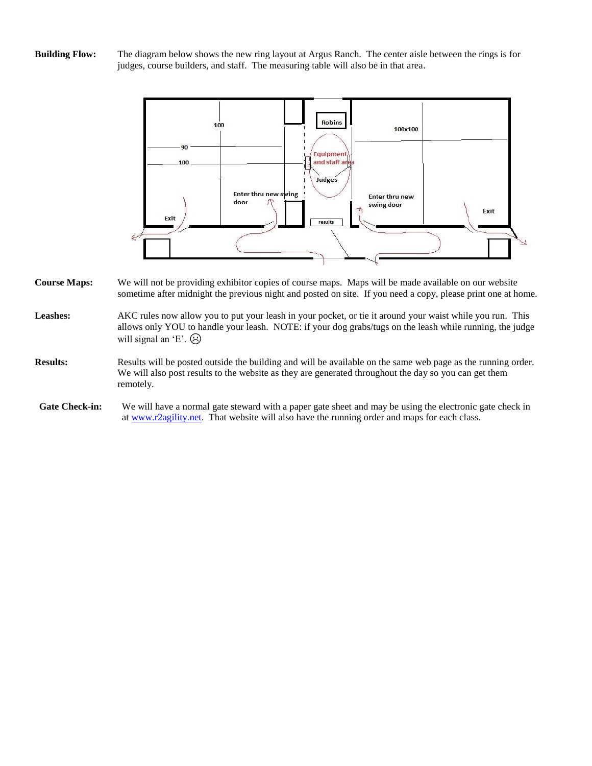**Building Flow:** The diagram below shows the new ring layout at Argus Ranch. The center aisle between the rings is for judges, course builders, and staff. The measuring table will also be in that area.



- **Course Maps:** We will not be providing exhibitor copies of course maps. Maps will be made available on our website sometime after midnight the previous night and posted on site. If you need a copy, please print one at home.
- Leashes: AKC rules now allow you to put your leash in your pocket, or tie it around your waist while you run. This allows only YOU to handle your leash. NOTE: if your dog grabs/tugs on the leash while running, the judge will signal an 'E'.  $\odot$
- **Results:** Results will be posted outside the building and will be available on the same web page as the running order. We will also post results to the website as they are generated throughout the day so you can get them remotely.
- Gate Check-in: We will have a normal gate steward with a paper gate sheet and may be using the electronic gate check in a[t www.r2agility.net.](http://www.r2agility.net/) That website will also have the running order and maps for each class.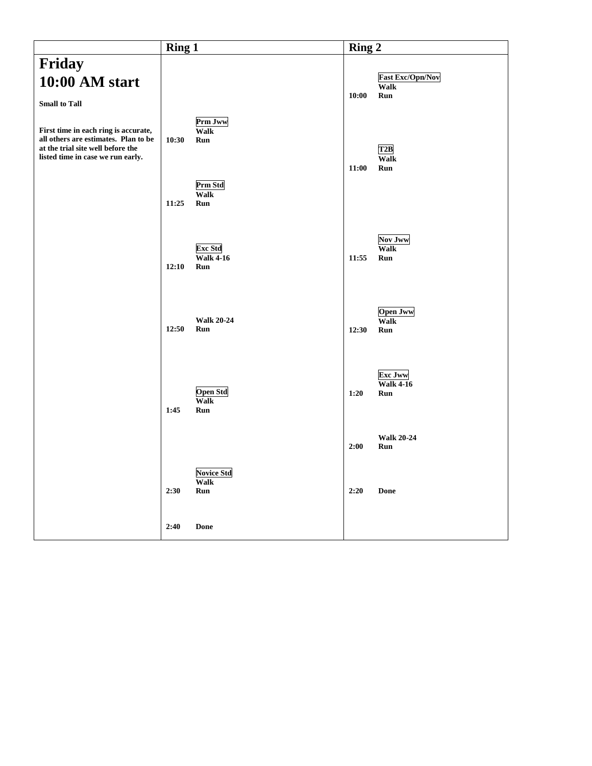|                                                                                                                                                        | <b>Ring 1</b> |                                         | <b>Ring 2</b> |                                           |
|--------------------------------------------------------------------------------------------------------------------------------------------------------|---------------|-----------------------------------------|---------------|-------------------------------------------|
| Friday<br>10:00 AM start                                                                                                                               |               |                                         |               | <b>Fast Exc/Opn/Nov</b><br><b>Walk</b>    |
| <b>Small to Tall</b>                                                                                                                                   |               |                                         | 10:00         | Run                                       |
| First time in each ring is accurate,<br>all others are estimates. Plan to be<br>at the trial site well before the<br>listed time in case we run early. | 10:30         | Prm Jww<br>Walk<br>Run<br>Prm Std       | 11:00         | T2B<br><b>Walk</b><br><b>Run</b>          |
|                                                                                                                                                        |               | <b>Walk</b>                             |               |                                           |
|                                                                                                                                                        | 11:25         | Run                                     |               |                                           |
|                                                                                                                                                        | 12:10         | <b>Exc Std</b><br>Walk $4-16$<br>Run    | 11:55         | <b>Nov Jww</b><br>Walk<br><b>Run</b>      |
|                                                                                                                                                        | 12:50         | <b>Walk 20-24</b><br>Run                | 12:30         | <b>Open Jww</b><br><b>Walk</b><br>Run     |
|                                                                                                                                                        | 1:45          | <b>Open Std</b><br>Walk<br>Run          | 1:20          | Exc Jww<br><b>Walk 4-16</b><br><b>Run</b> |
|                                                                                                                                                        |               |                                         | 2:00          | <b>Walk 20-24</b><br>Run                  |
|                                                                                                                                                        | 2:30          | <b>Novice Std</b><br><b>Walk</b><br>Run | 2:20          | Done                                      |
|                                                                                                                                                        | 2:40          | Done                                    |               |                                           |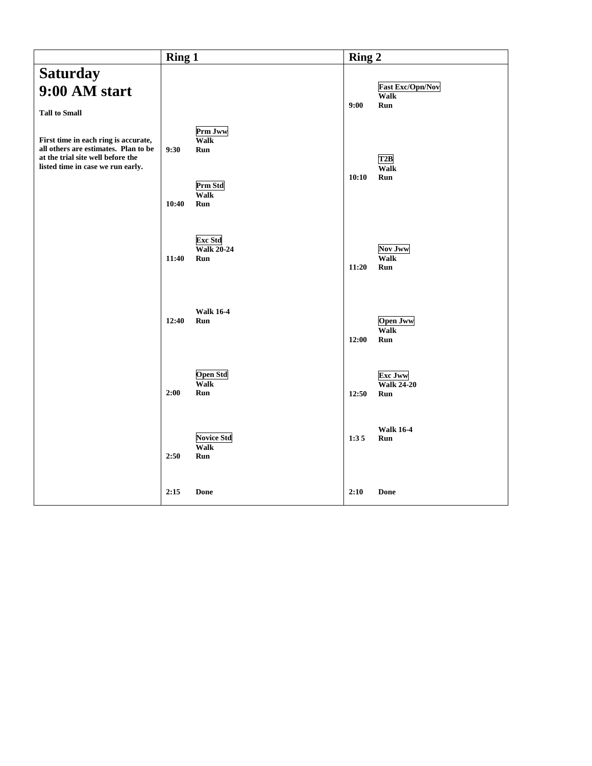|                                                                                                                                                        | Ring 1        |                                                  | <b>Ring 2</b> |                                                   |
|--------------------------------------------------------------------------------------------------------------------------------------------------------|---------------|--------------------------------------------------|---------------|---------------------------------------------------|
| <b>Saturday</b>                                                                                                                                        |               |                                                  |               |                                                   |
| 9:00 AM start                                                                                                                                          |               |                                                  | 9:00          | <b>Fast Exc/Opn/Nov</b><br>Walk<br><b>Run</b>     |
| <b>Tall to Small</b>                                                                                                                                   |               |                                                  |               |                                                   |
| First time in each ring is accurate,<br>all others are estimates. Plan to be<br>at the trial site well before the<br>listed time in case we run early. | 9:30<br>10:40 | Prm Jww<br>Walk<br>Run<br>Prm Std<br>Walk<br>Run | 10:10         | T2B<br><b>Walk</b><br><b>Run</b>                  |
|                                                                                                                                                        | 11:40         | <b>Exc Std</b><br><b>Walk 20-24</b><br>Run       | 11:20         | <b>Nov Jww</b><br>Walk<br><b>Run</b>              |
|                                                                                                                                                        | 12:40         | <b>Walk 16-4</b><br>Run                          | 12:00         | <b>Open Jww</b><br>Walk<br><b>Run</b>             |
|                                                                                                                                                        | 2:00          | <b>Open Std</b><br>Walk<br>Run                   | 12:50         | <b>Exc Jww</b><br><b>Walk 24-20</b><br><b>Run</b> |
|                                                                                                                                                        | 2:50          | <b>Novice Std</b><br>Walk<br>Run                 | 1:35          | <b>Walk 16-4</b><br><b>Run</b>                    |
|                                                                                                                                                        | 2:15          | Done                                             | 2:10          | Done                                              |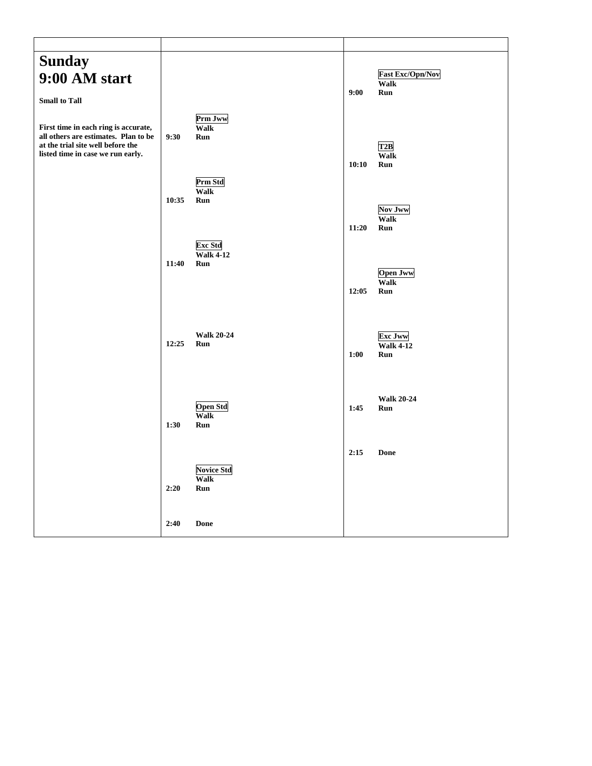| <b>Sunday</b><br>9:00 AM start                                                                                                                         |       |                                           | 9:00  | <b>Fast Exc/Opn/Nov</b><br>Walk<br>$\mathbf{Run}$ |
|--------------------------------------------------------------------------------------------------------------------------------------------------------|-------|-------------------------------------------|-------|---------------------------------------------------|
| <b>Small to Tall</b>                                                                                                                                   |       |                                           |       |                                                   |
| First time in each ring is accurate,<br>all others are estimates. Plan to be<br>at the trial site well before the<br>listed time in case we run early. | 9:30  | Prm Jww<br>Walk<br><b>Run</b>             | 10:10 | T <sub>2</sub> B<br>Walk<br>Run                   |
|                                                                                                                                                        | 10:35 | Prm Std<br><b>Walk</b><br>Run             | 11:20 | <b>Nov Jww</b><br>Walk<br>Run                     |
|                                                                                                                                                        | 11:40 | <b>Exc Std</b><br><b>Walk 4-12</b><br>Run | 12:05 | <b>Open Jww</b><br>Walk<br>Run                    |
|                                                                                                                                                        | 12:25 | <b>Walk 20-24</b><br>Run                  | 1:00  | Exc Jww<br>Walk $4-12$<br>Run                     |
|                                                                                                                                                        | 1:30  | <b>Open Std</b><br>Walk<br>Run            | 1:45  | <b>Walk 20-24</b><br><b>Run</b>                   |
|                                                                                                                                                        | 2:20  | <b>Novice Std</b><br>Walk<br><b>Run</b>   | 2:15  | <b>Done</b>                                       |
|                                                                                                                                                        | 2:40  | <b>Done</b>                               |       |                                                   |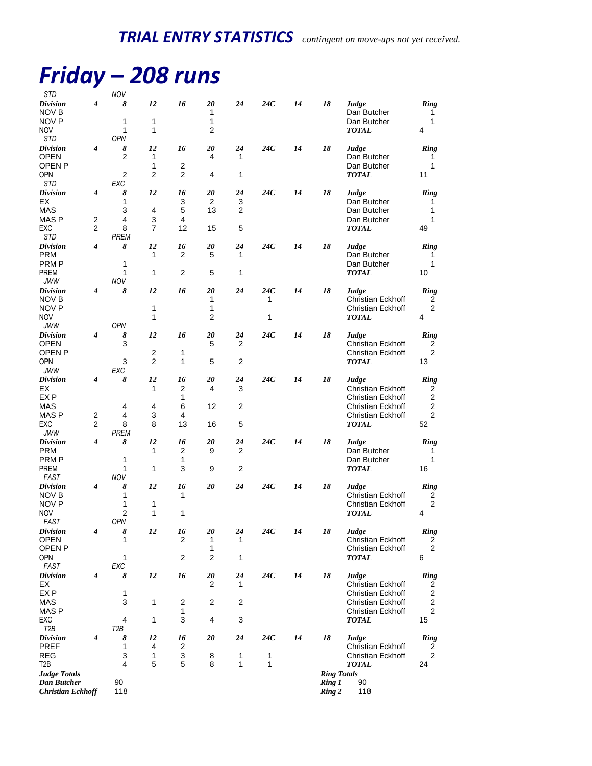## *Friday – 208 runs*

| <b>STD</b>                   |   | <b>NOV</b>              |                  |                         |                |                |                   |    |        |                                               |                     |
|------------------------------|---|-------------------------|------------------|-------------------------|----------------|----------------|-------------------|----|--------|-----------------------------------------------|---------------------|
| <b>Division</b>              | 4 | 8                       | 12               | 16                      | 20             | 24             | 24C               | 14 | 18     | Judge                                         | Ring                |
| NOV B                        |   |                         |                  |                         | 1              |                |                   |    |        | Dan Butcher                                   | 1                   |
| NOV P                        |   | 1                       | 1                |                         | 1              |                |                   |    |        | Dan Butcher                                   | 1                   |
| <b>NOV</b>                   |   | $\mathbf{1}$            | 1                |                         | $\overline{2}$ |                |                   |    |        | <b>TOTAL</b>                                  | 4                   |
| <b>STD</b>                   |   | OPN                     |                  |                         |                |                |                   |    |        |                                               |                     |
| <b>Division</b>              | 4 | 8                       | 12               | 16                      | 20             | 24             | 24C               | 14 | 18     | Judge                                         | Ring                |
| <b>OPEN</b><br>OPEN P        |   | $\overline{2}$          | 1<br>1           | $\overline{\mathbf{c}}$ | 4              | 1              |                   |    |        | Dan Butcher<br>Dan Butcher                    | 1<br>1              |
| <b>OPN</b>                   |   | $\overline{2}$          | $\overline{2}$   | $\overline{2}$          | 4              | 1              |                   |    |        | <b>TOTAL</b>                                  | 11                  |
| STD                          |   | EXC                     |                  |                         |                |                |                   |    |        |                                               |                     |
| <b>Division</b>              | 4 | 8                       | 12               | 16                      | 20             | 24             | 24C               | 14 | 18     | Judge                                         | Ring                |
| EX                           |   | 1                       |                  | 3                       | $\overline{2}$ | 3              |                   |    |        | Dan Butcher                                   | 1                   |
| <b>MAS</b>                   |   | 3                       | 4                | 5                       | 13             | 2              |                   |    |        | Dan Butcher                                   | 1                   |
| MAS P                        | 2 | 4                       | 3                | $\overline{4}$          |                |                |                   |    |        | Dan Butcher                                   | 1                   |
| EXC                          | 2 | 8                       | 7                | 12                      | 15             | 5              |                   |    |        | <b>TOTAL</b>                                  | 49                  |
| <b>STD</b>                   |   | <b>PREM</b>             |                  |                         |                |                |                   |    |        |                                               |                     |
| <b>Division</b>              | 4 | 8                       | 12               | 16                      | 20             | 24             | 24C               | 14 | 18     | Judge                                         | Ring                |
| <b>PRM</b>                   |   |                         | $\mathbf{1}$     | 2                       | 5              | $\mathbf{1}$   |                   |    |        | Dan Butcher                                   | 1                   |
| <b>PRMP</b>                  |   | 1                       |                  |                         |                |                |                   |    |        | Dan Butcher                                   | 1                   |
| <b>PREM</b>                  |   | 1                       | 1                | 2                       | 5              | 1              |                   |    |        | TOTAL                                         | 10                  |
| JWW                          |   | NOV                     |                  |                         |                |                |                   |    |        |                                               |                     |
| <b>Division</b>              | 4 | 8                       | 12               | 16                      | 20             | 24             | 24C               | 14 | 18     | Judge                                         | Ring                |
| NOV B                        |   |                         |                  |                         | 1              |                | 1                 |    |        | Christian Eckhoff                             | 2                   |
| NOV P                        |   |                         | 1                |                         | 1              |                |                   |    |        | <b>Christian Eckhoff</b>                      | $\overline{2}$      |
| <b>NOV</b>                   |   |                         | 1                |                         | 2              |                | 1                 |    |        | <b>TOTAL</b>                                  | 4                   |
| <b>JWW</b>                   |   | OPN                     |                  |                         |                |                |                   |    |        |                                               |                     |
| <b>Division</b>              | 4 | 8                       | 12               | 16                      | 20             | 24<br>2        | 24C               | 14 | 18     | Judge                                         | Ring                |
| <b>OPEN</b><br><b>OPEN P</b> |   | 3                       | $\boldsymbol{2}$ | 1                       | 5              |                |                   |    |        | Christian Eckhoff<br><b>Christian Eckhoff</b> | 2<br>2              |
| <b>OPN</b>                   |   | 3                       | $\overline{2}$   | 1                       | 5              | 2              |                   |    |        | <b>TOTAL</b>                                  | 13                  |
| <b>JWW</b>                   |   | <b>EXC</b>              |                  |                         |                |                |                   |    |        |                                               |                     |
| <b>Division</b>              | 4 | 8                       | 12               | 16                      | 20             | 24             | 24C               | 14 | 18     | Judge                                         | Ring                |
| EX                           |   |                         | 1                | $\boldsymbol{2}$        | 4              | 3              |                   |    |        | <b>Christian Eckhoff</b>                      | 2                   |
| EX <sub>P</sub>              |   |                         |                  | 1                       |                |                |                   |    |        | Christian Eckhoff                             | 2                   |
| <b>MAS</b>                   |   | 4                       | 4                | 6                       | 12             | 2              |                   |    |        | Christian Eckhoff                             | $\overline{2}$      |
| MAS P                        | 2 | 4                       | 3                | 4                       |                |                |                   |    |        | Christian Eckhoff                             | $\overline{c}$      |
| EXC                          | 2 | 8                       | 8                | 13                      | 16             | 5              |                   |    |        | <b>TOTAL</b>                                  | 52                  |
| JWW                          |   | <b>PREM</b>             |                  |                         |                |                |                   |    |        |                                               |                     |
| <b>Division</b>              | 4 | 8                       | 12               | 16                      | 20             | 24             | 24C               | 14 | 18     | Judge                                         | <b>Ring</b>         |
| <b>PRM</b>                   |   |                         | 1                | 2                       | 9              | 2              |                   |    |        | Dan Butcher                                   | 1                   |
| PRM <sub>P</sub>             |   | 1                       |                  | $\mathbf{1}$            |                |                |                   |    |        | Dan Butcher                                   | 1                   |
| <b>PREM</b>                  |   | 1                       | 1                | 3                       | 9              | $\overline{2}$ |                   |    |        | <b>TOTAL</b>                                  | 16                  |
| FAST                         |   | <b>NOV</b>              |                  |                         |                |                |                   |    |        |                                               |                     |
| <b>Division</b><br>NOV B     | 4 | 8<br>1                  | 12               | 16<br>1                 | 20             | 24             | 24C               | 14 | 18     | Judge                                         | <b>Ring</b>         |
| NOV P                        |   | 1                       | 1                |                         |                |                |                   |    |        | Christian Eckhoff<br><b>Christian Eckhoff</b> | 2<br>$\overline{2}$ |
| <b>NOV</b>                   |   | 2                       | 1                | 1                       |                |                |                   |    |        | TOTAL                                         | 4                   |
| <b>FAST</b>                  |   | OPN                     |                  |                         |                |                |                   |    |        |                                               |                     |
| <b>Division</b>              | 4 | 8                       | 12               | 16                      | 20             | 24             | 24C               | 14 | 18     | Judge                                         | <b>Ring</b>         |
| <b>OPEN</b>                  |   | 1                       |                  | 2                       | 1              | 1              |                   |    |        | Christian Eckhoff                             | 2                   |
| OPEN <sub>P</sub>            |   |                         |                  |                         | 1              |                |                   |    |        | Christian Eckhoff                             | $\overline{c}$      |
| OPN                          |   | 1                       |                  | 2                       | $\overline{2}$ | 1              |                   |    |        | <b>TOTAL</b>                                  | 6                   |
| FAST                         |   | EXC                     |                  |                         |                |                |                   |    |        |                                               |                     |
| <b>Division</b>              | 4 | 8                       | 12               | 16                      | 20             | 24             | 24C               | 14 | 18     | Judge                                         | Ring                |
| ЕX                           |   |                         |                  |                         | 2              | 1              |                   |    |        | <b>Christian Eckhoff</b>                      | 2                   |
| EX P                         |   | 1                       |                  |                         |                |                |                   |    |        | Christian Eckhoff                             | $\boldsymbol{2}$    |
| <b>MAS</b>                   |   | 3                       | $\mathbf{1}$     | 2                       | 2              | $\overline{c}$ |                   |    |        | Christian Eckhoff                             | $\boldsymbol{2}$    |
| MAS <sub>P</sub>             |   |                         |                  | 1                       |                |                |                   |    |        | Christian Eckhoff                             | $\mathbf{2}$        |
| EXC                          |   | $\overline{\mathbf{4}}$ | 1                | 3                       | 4              | 3              |                   |    |        | <b>TOTAL</b>                                  | 15                  |
| T2B                          |   | T2B                     |                  |                         |                |                |                   |    |        |                                               |                     |
| <b>Division</b>              | 4 | 8                       | 12               | 16                      | 20             | 24             | 24C               | 14 | 18     | Judge                                         | Ring                |
| <b>PREF</b>                  |   | 1                       | 4                | $\overline{c}$          |                |                |                   |    |        | <b>Christian Eckhoff</b>                      | 2                   |
| <b>REG</b>                   |   | 3                       | 1<br>5           | 3<br>5                  | 8              | 1              | 1<br>$\mathbf{1}$ |    |        | Christian Eckhoff                             | $\overline{2}$      |
| T2B<br><b>Judge Totals</b>   |   | 4                       |                  |                         | 8              | 1              |                   |    |        | TOTAL<br><b>Ring Totals</b>                   | 24                  |
| <b>Dan Butcher</b>           |   | 90                      |                  |                         |                |                |                   |    | Ring 1 | 90                                            |                     |
| <b>Christian Eckhoff</b>     |   | 118                     |                  |                         |                |                |                   |    | Ring 2 | 118                                           |                     |
|                              |   |                         |                  |                         |                |                |                   |    |        |                                               |                     |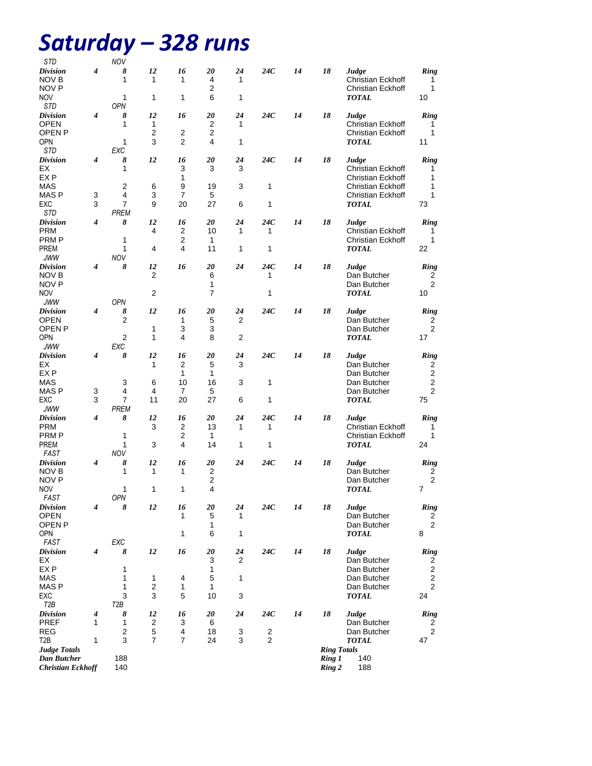## *Saturday – 328 runs*

| STD                      |              | <b>NOV</b>              |                |                         |                |                |                |    |        |                          |                         |
|--------------------------|--------------|-------------------------|----------------|-------------------------|----------------|----------------|----------------|----|--------|--------------------------|-------------------------|
| <b>Division</b>          | 4            | 8                       | 12             | 16                      | 20             | 24             | 24C            | 14 | 18     | Judge                    | <b>Ring</b>             |
| NOV B                    |              | 1                       | 1              | 1                       | 4              | 1              |                |    |        | <b>Christian Eckhoff</b> | 1                       |
| NOV P                    |              |                         |                |                         | 2              |                |                |    |        | <b>Christian Eckhoff</b> | 1                       |
| <b>NOV</b>               |              | 1                       | 1              | 1                       | 6              | 1              |                |    |        | <b>TOTAL</b>             | 10                      |
| STD                      |              | OPN                     |                |                         |                |                |                |    |        |                          |                         |
| <b>Division</b>          | 4            | 8                       | 12             | 16                      | 20             | 24             | 24C            | 14 | 18     | Judge                    | Ring                    |
| <b>OPEN</b>              |              | 1                       | 1              |                         | 2              | 1              |                |    |        | <b>Christian Eckhoff</b> | 1                       |
| OPEN <sub>P</sub>        |              |                         | $\overline{2}$ | $\overline{2}$          | 2              |                |                |    |        | <b>Christian Eckhoff</b> | 1                       |
| <b>OPN</b>               |              | 1                       | 3              | $\overline{2}$          | 4              | 1              |                |    |        | <b>TOTAL</b>             | 11                      |
| STD                      |              | EXC                     |                |                         |                |                |                |    |        |                          |                         |
| <b>Division</b>          | 4            | 8                       | 12             | 16                      | 20             | 24             | 24C            | 14 | 18     | Judge                    | <b>Ring</b>             |
| EX                       |              | 1                       |                | 3                       | 3              | 3              |                |    |        | <b>Christian Eckhoff</b> | 1                       |
| EX P                     |              |                         |                | 1                       |                |                |                |    |        | <b>Christian Eckhoff</b> | 1                       |
| <b>MAS</b>               |              | 2                       | 6              | $\boldsymbol{9}$        | 19             | 3              | 1              |    |        | <b>Christian Eckhoff</b> | 1                       |
| MAS P                    | 3            | 4                       | 3              | $\overline{7}$          | 5              |                |                |    |        | <b>Christian Eckhoff</b> | 1                       |
| EXC                      | 3            | 7                       | 9              | 20                      | 27             | 6              | 1              |    |        | <b>TOTAL</b>             | 73                      |
| STD                      |              | <b>PREM</b>             |                |                         |                |                |                |    |        |                          |                         |
| <b>Division</b>          | 4            | 8                       | 12             | 16                      | 20             | 24             | 24C            | 14 | 18     | Judge                    | <b>Ring</b>             |
| <b>PRM</b>               |              |                         | 4              | $\overline{2}$          | 10             | 1              | $\mathbf{1}$   |    |        | <b>Christian Eckhoff</b> | 1                       |
| PRM <sub>P</sub>         |              | 1                       |                | $\overline{2}$          | 1              |                |                |    |        | <b>Christian Eckhoff</b> | 1                       |
| <b>PREM</b>              |              | 1                       | 4              | 4                       | 11             | 1              | 1              |    |        | <b>TOTAL</b>             | 22                      |
| JWW                      |              | <b>NOV</b>              |                |                         |                |                |                |    |        |                          |                         |
| <b>Division</b>          | 4            | 8                       | 12             | 16                      | 20             | 24             | 24C            | 14 | 18     | Judge                    | Ring                    |
| NOV <sub>B</sub>         |              |                         | 2              |                         | 6              |                | 1              |    |        | Dan Butcher              | 2                       |
| NOV P                    |              |                         |                |                         | 1              |                |                |    |        | Dan Butcher              | $\overline{2}$          |
| <b>NOV</b>               |              |                         | $\overline{2}$ |                         | 7              |                | 1              |    |        | <b>TOTAL</b>             | 10                      |
| <b>JWW</b>               |              | OPN                     |                |                         |                |                |                |    |        |                          |                         |
| <b>Division</b>          | 4            | 8                       | 12             | 16                      | 20             | 24             | 24C            | 14 | 18     | Judge                    | <b>Ring</b>             |
| <b>OPEN</b>              |              | 2                       |                | 1                       | 5              | 2              |                |    |        | Dan Butcher              |                         |
| <b>OPEN P</b>            |              |                         | 1              | 3                       |                |                |                |    |        | Dan Butcher              | 2<br>$\overline{2}$     |
| <b>OPN</b>               |              | $\overline{2}$          | 1              | 4                       | 3<br>8         | 2              |                |    |        |                          |                         |
| <b>JWW</b>               |              |                         |                |                         |                |                |                |    |        | <b>TOTAL</b>             | 17                      |
|                          |              | EXC                     |                |                         |                |                |                |    |        |                          |                         |
| <b>Division</b>          | 4            | 8                       | 12             | 16                      | 20             | 24             | 24C            | 14 | 18     | Judge                    | Ring                    |
| EX                       |              |                         | 1              | $\overline{2}$          | 5              | 3              |                |    |        | Dan Butcher              | 2                       |
| EX P                     |              |                         |                | $\mathbf{1}$            | 1              |                |                |    |        | Dan Butcher              | $\overline{\mathbf{c}}$ |
| <b>MAS</b>               |              | 3                       | 6              | 10                      | 16             | 3              | 1              |    |        | Dan Butcher              | $\overline{\mathbf{c}}$ |
| MAS P                    | 3            | 4                       | 4              | $\overline{7}$          | 5              |                |                |    |        | Dan Butcher              | $\overline{2}$          |
| EXC                      | 3            | $\overline{7}$          | 11             | 20                      | 27             | 6              | 1              |    |        | <b>TOTAL</b>             | 75                      |
| JWW                      |              | <b>PREM</b>             |                |                         |                |                |                |    |        |                          |                         |
| <b>Division</b>          | 4            | 8                       | 12             | 16                      | 20             | 24             | 24C            | 14 | 18     | Judge                    | Ring                    |
| <b>PRM</b>               |              |                         | 3              | $\overline{2}$          | 13             | 1              | 1              |    |        | <b>Christian Eckhoff</b> | 1                       |
| PRM P                    |              | 1                       |                | $\overline{2}$          | 1              |                |                |    |        | <b>Christian Eckhoff</b> | 1                       |
| <b>PREM</b>              |              | 1                       | 3              | 4                       | 14             | 1              | 1              |    |        | <b>TOTAL</b>             | 24                      |
| FAST                     |              | <b>NOV</b>              |                |                         |                |                |                |    |        |                          |                         |
| <b>Division</b>          | 4            | 8                       | 12             | 16                      | 20             | 24             | 24C            | 14 | 18     | Judge                    | <b>Ring</b>             |
| NOV B                    |              | 1                       | 1              | 1                       | 2              |                |                |    |        | Dan Butcher              | 2                       |
| NOV <sub>P</sub>         |              |                         |                |                         | $\overline{2}$ |                |                |    |        | Dan Butcher              | $\overline{c}$          |
| <b>NOV</b>               |              | 1                       | 1              | 1                       | 4              |                |                |    |        | <b>TOTAL</b>             | 7                       |
| <b>FAST</b>              |              | OPN                     |                |                         |                |                |                |    |        |                          |                         |
| <b>Division</b>          | 4            | 8                       | 12             | 16                      | 20             | 24             | 24C            | 14 | 18     | Judge                    | Ring                    |
| <b>OPEN</b>              |              |                         |                | 1                       | 5              | 1              |                |    |        | Dan Butcher              | $\overline{a}$          |
| OPEN <sub>P</sub>        |              |                         |                |                         | 1              |                |                |    |        | Dan Butcher              | 2                       |
| OPN                      |              |                         |                | 1                       | 6              | 1              |                |    |        | <b>TOTAL</b>             | 8                       |
| <b>FAST</b>              |              | EXC                     |                |                         |                |                |                |    |        |                          |                         |
| <b>Division</b>          | 4            | 8                       | 12             | 16                      | 20             | 24             | 24C            | 14 | 18     | Judge                    | Ring                    |
| EX                       |              |                         |                |                         | 3              | $\overline{c}$ |                |    |        | Dan Butcher              | 2                       |
| EX <sub>P</sub>          |              | 1                       |                |                         | 1              |                |                |    |        | Dan Butcher              | $\overline{\mathbf{c}}$ |
| MAS                      |              | 1                       | 1              | 4                       | 5              | 1              |                |    |        | Dan Butcher              | $\overline{\mathbf{c}}$ |
| MAS <sub>P</sub>         |              | 1                       | $\overline{2}$ | 1                       | 1              |                |                |    |        | Dan Butcher              | 2                       |
| EXC                      |              | 3                       | 3              | 5                       | 10             | 3              |                |    |        | <b>TOTAL</b>             | 24                      |
| T2B                      |              | T <sub>2</sub> B        |                |                         |                |                |                |    |        |                          |                         |
| <b>Division</b>          | 4            | 8                       | 12             | 16                      | 20             | 24             | 24C            | 14 | 18     | Judge                    | Ring                    |
| <b>PREF</b>              | $\mathbf{1}$ | 1                       | 2              | 3                       | 6              |                |                |    |        | Dan Butcher              | 2                       |
| <b>REG</b>               |              | $\overline{\mathbf{c}}$ | 5              | $\overline{\mathbf{4}}$ | 18             | 3              | $\overline{c}$ |    |        | Dan Butcher              | $\overline{c}$          |
| T <sub>2</sub> B         | $\mathbf{1}$ | 3                       | 7              | $\overline{7}$          | 24             | 3              | 2              |    |        | <b>TOTAL</b>             | 47                      |
| <b>Judge Totals</b>      |              |                         |                |                         |                |                |                |    |        | <b>Ring Totals</b>       |                         |
| <b>Dan Butcher</b>       |              | 188                     |                |                         |                |                |                |    | Ring 1 | 140                      |                         |
| <b>Christian Eckhoff</b> |              | 140                     |                |                         |                |                |                |    | Ring 2 | 188                      |                         |
|                          |              |                         |                |                         |                |                |                |    |        |                          |                         |